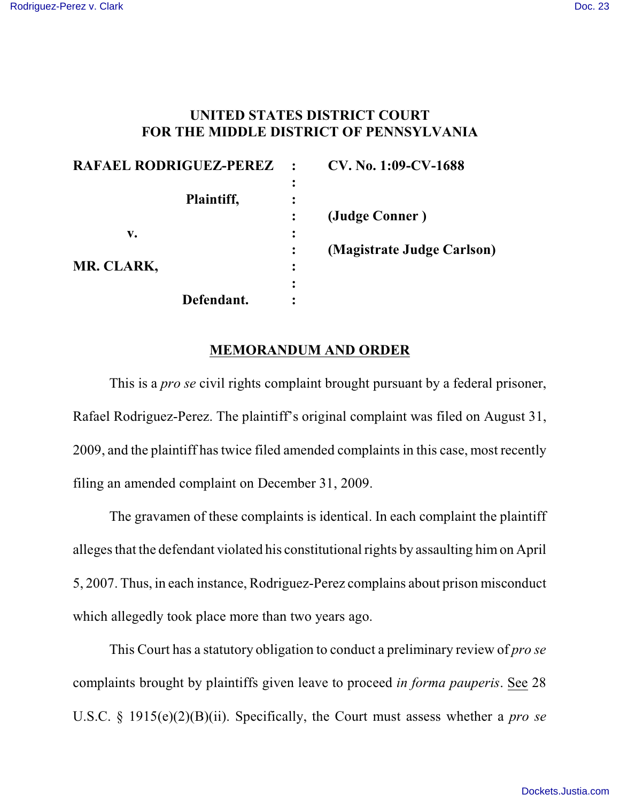## **UNITED STATES DISTRICT COURT FOR THE MIDDLE DISTRICT OF PENNSYLVANIA**

| RAFAEL RODRIGUEZ-PEREZ |           | CV. No. 1:09-CV-1688       |
|------------------------|-----------|----------------------------|
|                        | ፡         |                            |
| Plaintiff,             | $\bullet$ |                            |
|                        |           | (Judge Conner)             |
| v.                     | ٠         |                            |
|                        |           | (Magistrate Judge Carlson) |
| MR. CLARK,             | ٠         |                            |
|                        | ٠         |                            |
| Defendant.             |           |                            |

## **MEMORANDUM AND ORDER**

This is a *pro se* civil rights complaint brought pursuant by a federal prisoner, Rafael Rodriguez-Perez. The plaintiff's original complaint was filed on August 31, 2009, and the plaintiff has twice filed amended complaints in this case, most recently filing an amended complaint on December 31, 2009.

The gravamen of these complaints is identical. In each complaint the plaintiff alleges that the defendant violated his constitutional rights by assaulting him on April 5, 2007. Thus, in each instance, Rodriguez-Perez complains about prison misconduct which allegedly took place more than two years ago.

This Court has a statutory obligation to conduct a preliminary review of *pro se* complaints brought by plaintiffs given leave to proceed *in forma pauperis*. See 28 U.S.C. § 1915(e)(2)(B)(ii). Specifically, the Court must assess whether a *pro se*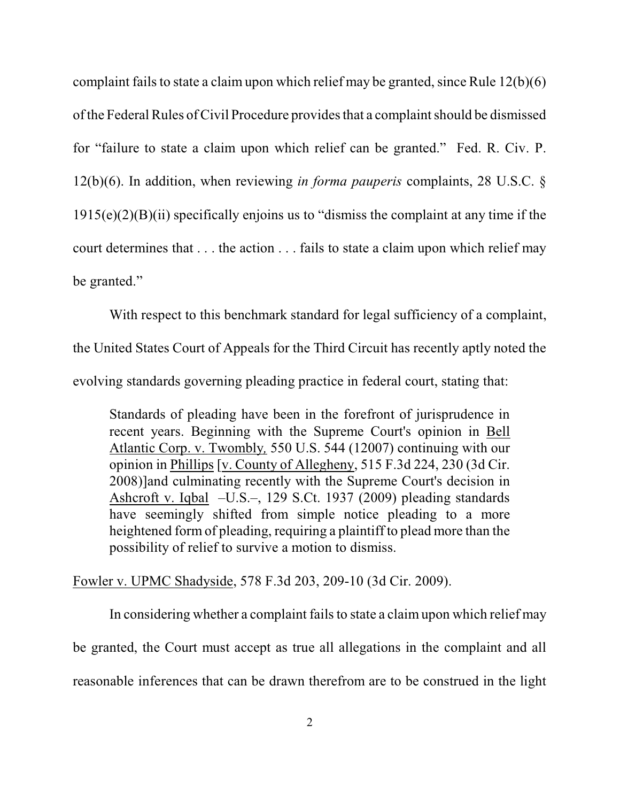complaint fails to state a claim upon which relief may be granted, since Rule  $12(b)(6)$ of the Federal Rules of Civil Procedure provides that a complaint should be dismissed for "failure to state a claim upon which relief can be granted." Fed. R. Civ. P. 12(b)(6). In addition, when reviewing *in forma pauperis* complaints, 28 U.S.C. §  $1915(e)(2)(B)(ii)$  specifically enjoins us to "dismiss the complaint at any time if the court determines that . . . the action . . . fails to state a claim upon which relief may be granted."

With respect to this benchmark standard for legal sufficiency of a complaint,

the United States Court of Appeals for the Third Circuit has recently aptly noted the

evolving standards governing pleading practice in federal court, stating that:

Standards of pleading have been in the forefront of jurisprudence in recent years. Beginning with the Supreme Court's opinion in [Bell](http://www.westlaw.com/Find/Default.wl?rs=dfa1.0&vr=2.0&DB=708&FindType=Y&SerialNum=2012293296) [Atlantic Corp. v. Twombly](http://www.westlaw.com/Find/Default.wl?rs=dfa1.0&vr=2.0&DB=708&FindType=Y&SerialNum=2012293296)*,* 550 U.S. 544 (12007) continuing with our opinion in [Phillips](http://www.westlaw.com/Find/Default.wl?rs=dfa1.0&vr=2.0&FindType=Y&SerialNum=2015125207) [v. County of Allegheny, 515 F.3d 224, 230 (3d Cir. 2008)]and culminating recently with the Supreme Court's decision in [Ashcroft v. Iqbal](http://www.westlaw.com/Find/Default.wl?rs=dfa1.0&vr=2.0&DB=708&FindType=Y&ReferencePositionType=S&SerialNum=2018848474&ReferencePosition=1955) –U.S.–, 129 S.Ct. 1937 (2009) pleading standards have seemingly shifted from simple notice pleading to a more heightened form of pleading, requiring a plaintiff to plead more than the possibility of relief to survive a motion to dismiss.

Fowler v. UPMC Shadyside, 578 F.3d 203, 209-10 (3d Cir. 2009).

In considering whether a complaint fails to state a claim upon which relief may be granted, the Court must accept as true all allegations in the complaint and all reasonable inferences that can be drawn therefrom are to be construed in the light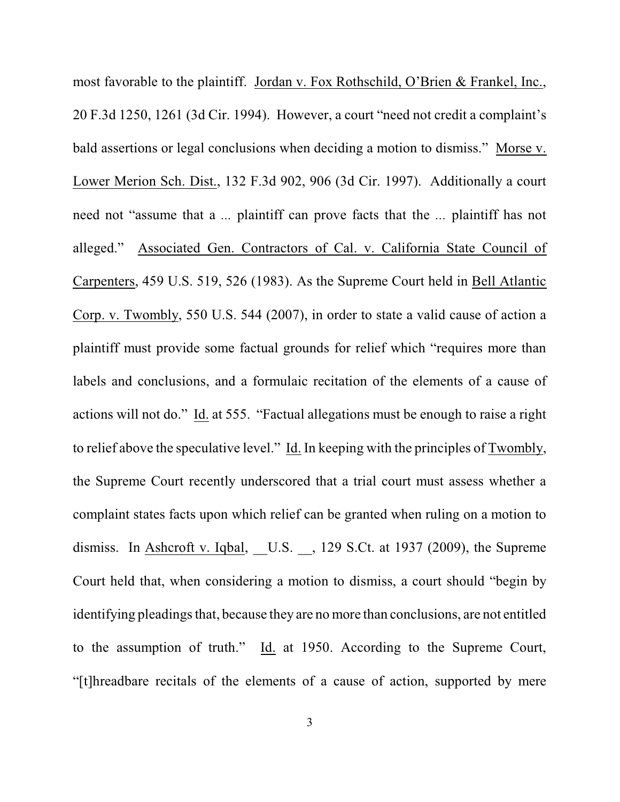most favorable to the plaintiff. Jordan v. Fox Rothschild, O'Brien & Frankel, Inc., 20 F.3d 1250, 1261 (3d Cir. 1994). However, a court "need not credit a complaint's bald assertions or legal conclusions when deciding a motion to dismiss." Morse v. Lower Merion Sch. Dist., 132 F.3d 902, 906 (3d Cir. 1997). Additionally a court need not "assume that a *...* plaintiff can prove facts that the *...* plaintiff has not alleged." Associated Gen. Contractors of Cal. v. California State Council of Carpenters, 459 U.S. 519, 526 (1983). As the Supreme Court held in Bell Atlantic Corp. v. Twombly, 550 U.S. 544 (2007), in order to state a valid cause of action a plaintiff must provide some factual grounds for relief which "requires more than labels and conclusions, and a formulaic recitation of the elements of a cause of actions will not do." Id. at 555. "Factual allegations must be enough to raise a right to relief above the speculative level." Id. In keeping with the principles of Twombly, the Supreme Court recently underscored that a trial court must assess whether a complaint states facts upon which relief can be granted when ruling on a motion to dismiss. In Ashcroft v. Iqbal, U.S. , 129 S.Ct. at 1937 (2009), the Supreme Court held that, when considering a motion to dismiss, a court should "begin by identifying pleadings that, because they are no more than conclusions, are not entitled to the assumption of truth." Id. at 1950. According to the Supreme Court, "[t]hreadbare recitals of the elements of a cause of action, supported by mere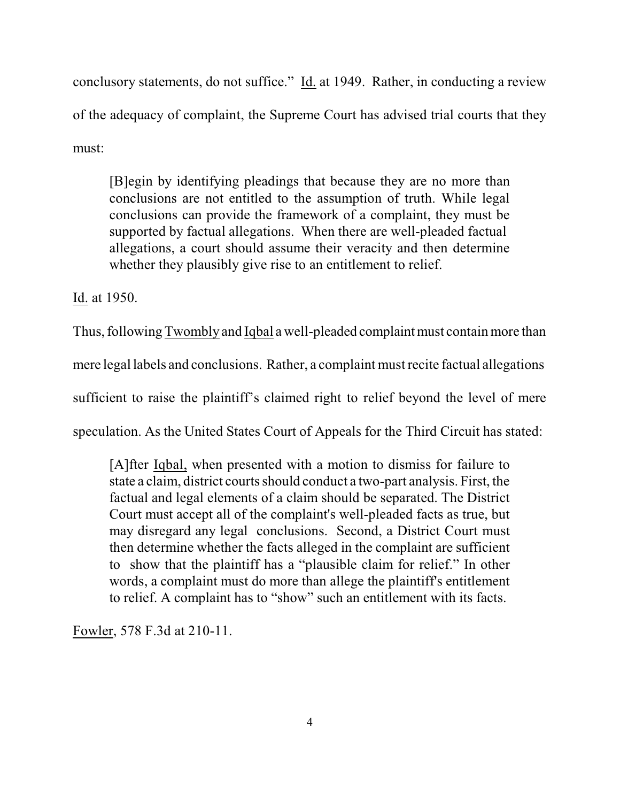conclusory statements, do not suffice." Id. at 1949. Rather, in conducting a review of the adequacy of complaint, the Supreme Court has advised trial courts that they must:

[B]egin by identifying pleadings that because they are no more than conclusions are not entitled to the assumption of truth. While legal conclusions can provide the framework of a complaint, they must be supported by factual allegations. When there are well-pleaded factual allegations, a court should assume their veracity and then determine whether they plausibly give rise to an entitlement to relief.

Id. at 1950.

Thus, following Twombly and Iqbal a well-pleaded complaint must contain more than mere legal labels and conclusions. Rather, a complaint must recite factual allegations sufficient to raise the plaintiff's claimed right to relief beyond the level of mere speculation. As the United States Court of Appeals for the Third Circuit has stated:

[A]fter [Iqbal,](http://www.westlaw.com/Find/Default.wl?rs=dfa1.0&vr=2.0&FindType=Y&SerialNum=2018848474) when presented with a motion to dismiss for failure to state a claim, district courts should conduct a two-part analysis. First, the factual and legal elements of a claim should be separated. The District Court must accept all of the complaint's well-pleaded facts as true, but may disregard any legal conclusions. Second, a District Court must then determine whether the facts alleged in the complaint are sufficient to show that the plaintiff has a "plausible claim for relief." In other words, a complaint must do more than allege the plaintiff's entitlement to relief. A complaint has to "show" such an entitlement with its facts.

Fowler, 578 F.3d at 210-11.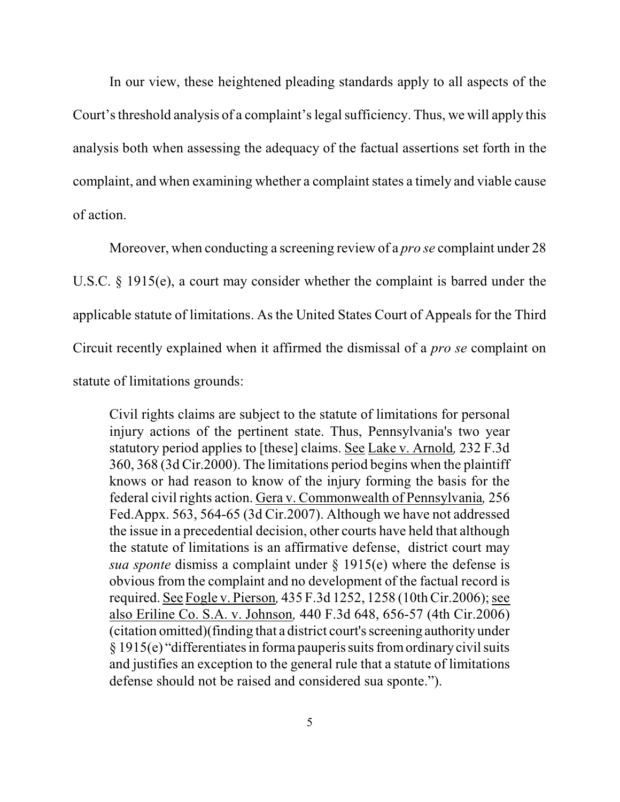In our view, these heightened pleading standards apply to all aspects of the Court's threshold analysis of a complaint's legal sufficiency. Thus, we will apply this analysis both when assessing the adequacy of the factual assertions set forth in the complaint, and when examining whether a complaint states a timely and viable cause of action.

Moreover, when conducting a screening review of a *pro se* complaint under 28 U.S.C. § 1915(e), a court may consider whether the complaint is barred under the applicable statute of limitations. As the United States Court of Appeals for the Third Circuit recently explained when it affirmed the dismissal of a *pro se* complaint on statute of limitations grounds:

Civil rights claims are subject to the statute of limitations for personal injury actions of the pertinent state. Thus, Pennsylvania's two year statutory period applies to [these] claims. See Lake v. Arnold*,* 232 F.3d 360, 368 (3d Cir.2000). The limitations period begins when the plaintiff knows or had reason to know of the injury forming the basis for the federal civil rights action. Gera v. Commonwealth of Pennsylvania*,* 256 Fed.Appx. 563, 564-65 (3d Cir.2007). Although we have not addressed the issue in a precedential decision, other courts have held that although the statute of limitations is an affirmative defense, district court may *sua sponte* dismiss a complaint under § 1915(e) where the defense is obvious from the complaint and no development of the factual record is required. See Fogle v. Pierson*,* 435 F.3d 1252, 1258 (10th Cir.2006); see also Eriline Co. S.A. v. Johnson*,* 440 F.3d 648, 656-57 (4th Cir.2006) (citation omitted)(finding that a district court's screening authority under  $\S 1915(e)$  "differentiates in forma pauperis suits from ordinary civil suits and justifies an exception to the general rule that a statute of limitations defense should not be raised and considered sua sponte.").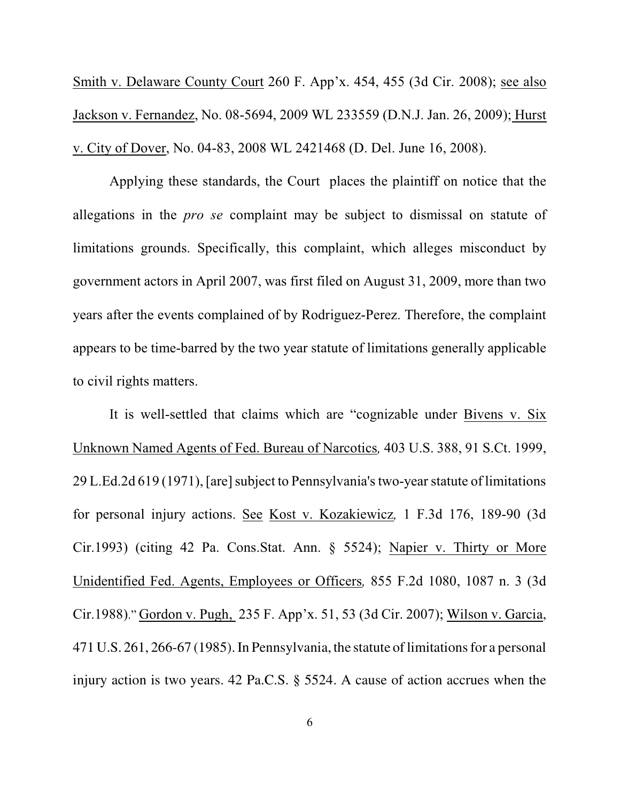Smith v. Delaware County Court 260 F. App'x. 454, 455 (3d Cir. 2008); see also Jackson v. Fernandez, No. 08-5694, 2009 WL 233559 (D.N.J. Jan. 26, 2009); Hurst v. City of Dover, No. 04-83, 2008 WL 2421468 (D. Del. June 16, 2008).

Applying these standards, the Court places the plaintiff on notice that the allegations in the *pro se* complaint may be subject to dismissal on statute of limitations grounds. Specifically, this complaint, which alleges misconduct by government actors in April 2007, was first filed on August 31, 2009, more than two years after the events complained of by Rodriguez-Perez. Therefore, the complaint appears to be time-barred by the two year statute of limitations generally applicable to civil rights matters.

It is well-settled that claims which are "cognizable under Bivens v. Six Unknown Named Agents of Fed. Bureau of Narcotics*,* 403 U.S. 388, 91 S.Ct. 1999, 29 L.Ed.2d 619 (1971), [are] subject to Pennsylvania's two-year statute of limitations for personal injury actions. See Kost v. Kozakiewicz*,* 1 F.3d 176, 189-90 (3d Cir.1993) (citing 42 Pa. Cons.Stat. Ann. § 5524); Napier v. Thirty or More Unidentified Fed. Agents, Employees or Officers*,* 855 F.2d 1080, 1087 n. 3 (3d Cir.1988)." Gordon v. Pugh, 235 F. App'x. 51, 53 (3d Cir. 2007); Wilson v. Garcia, 471 U.S. 261, 266-67 (1985). In Pennsylvania, the statute oflimitations for a personal injury action is two years. 42 Pa.C.S. § 5524. A cause of action accrues when the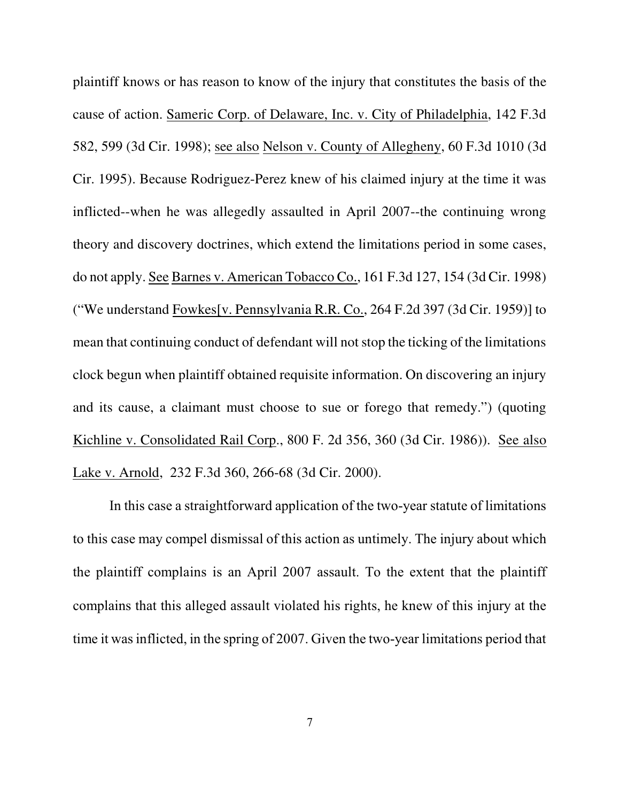plaintiff knows or has reason to know of the injury that constitutes the basis of the cause of action. Sameric Corp. of Delaware, Inc. v. City of Philadelphia, 142 F.3d 582, 599 (3d Cir. 1998); see also Nelson v. County of Allegheny, 60 F.3d 1010 (3d Cir. 1995). Because Rodriguez-Perez knew of his claimed injury at the time it was inflicted--when he was allegedly assaulted in April 2007--the continuing wrong theory and discovery doctrines, which extend the limitations period in some cases, do not apply. See Barnes v. American Tobacco Co., 161 F.3d 127, 154 (3d Cir. 1998) ("We understand Fowkes[v. Pennsylvania R.R. Co., 264 F.2d 397 (3d Cir. 1959)] to mean that continuing conduct of defendant will not stop the ticking of the limitations clock begun when plaintiff obtained requisite information. On discovering an injury and its cause, a claimant must choose to sue or forego that remedy.") (quoting Kichline v. Consolidated Rail Corp., 800 F. 2d 356, 360 (3d Cir. 1986)). See also Lake v. Arnold, 232 F.3d 360, 266-68 (3d Cir. 2000).

In this case a straightforward application of the two-year statute of limitations to this case may compel dismissal of this action as untimely. The injury about which the plaintiff complains is an April 2007 assault. To the extent that the plaintiff complains that this alleged assault violated his rights, he knew of this injury at the time it was inflicted, in the spring of 2007. Given the two-year limitations period that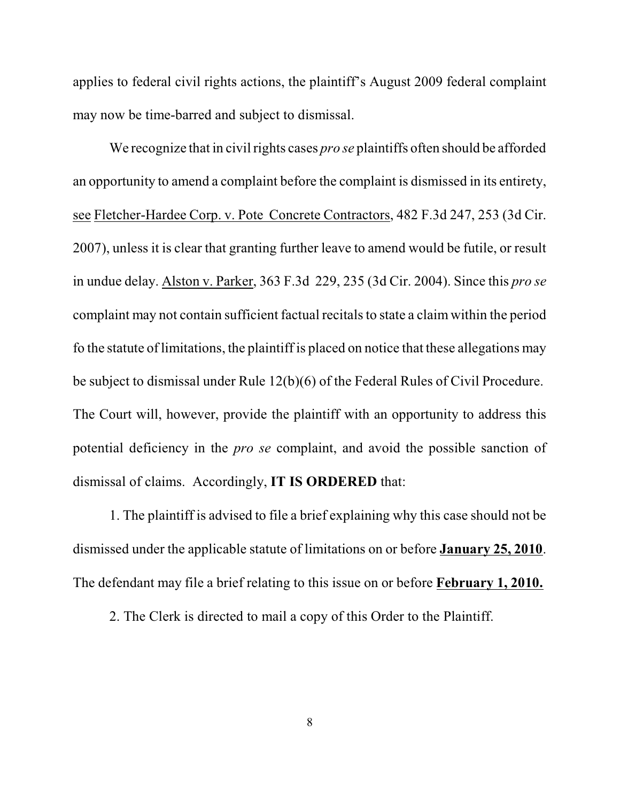applies to federal civil rights actions, the plaintiff's August 2009 federal complaint may now be time-barred and subject to dismissal.

We recognize that in civil rights cases *pro se* plaintiffs often should be afforded an opportunity to amend a complaint before the complaint is dismissed in its entirety, see Fletcher-Hardee Corp. v. Pote Concrete Contractors, 482 F.3d 247, 253 (3d Cir. 2007), unless it is clear that granting further leave to amend would be futile, or result in undue delay. Alston v. Parker, 363 F.3d 229, 235 (3d Cir. 2004). Since this *pro se* complaint may not contain sufficient factual recitals to state a claim within the period fo the statute of limitations, the plaintiff is placed on notice that these allegations may be subject to dismissal under Rule 12(b)(6) of the Federal Rules of Civil Procedure. The Court will, however, provide the plaintiff with an opportunity to address this potential deficiency in the *pro se* complaint, and avoid the possible sanction of dismissal of claims. Accordingly, **IT IS ORDERED** that:

1. The plaintiff is advised to file a brief explaining why this case should not be dismissed under the applicable statute of limitations on or before **January 25, 2010**. The defendant may file a brief relating to this issue on or before **February 1, 2010.**

2. The Clerk is directed to mail a copy of this Order to the Plaintiff.